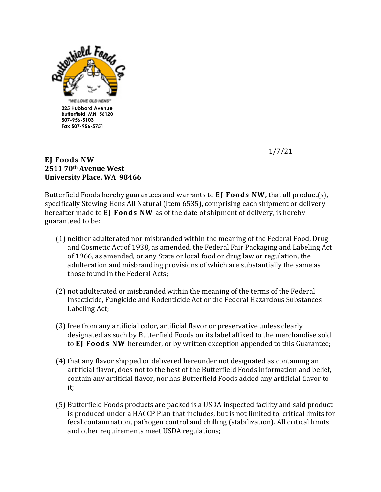

1/7/21

## **EJ Foods NW 2511 70th Avenue West University Place, WA 98466**

Butterfield Foods hereby guarantees and warrants to **EJ Foods NW**, that all product(s), specifically Stewing Hens All Natural (Item 6535), comprising each shipment or delivery hereafter made to **EJ Foods NW** as of the date of shipment of delivery, is hereby guaranteed to be:

- (1) neither adulterated nor misbranded within the meaning of the Federal Food, Drug and Cosmetic Act of 1938, as amended, the Federal Fair Packaging and Labeling Act of 1966, as amended, or any State or local food or drug law or regulation, the adulteration and misbranding provisions of which are substantially the same as those found in the Federal Acts;
- (2) not adulterated or misbranded within the meaning of the terms of the Federal Insecticide, Fungicide and Rodenticide Act or the Federal Hazardous Substances Labeling Act;
- (3) free from any artificial color, artificial flavor or preservative unless clearly designated as such by Butterfield Foods on its label affixed to the merchandise sold to **EJ Foods NW** hereunder, or by written exception appended to this Guarantee;
- (4) that any flavor shipped or delivered hereunder not designated as containing an artificial flavor, does not to the best of the Butterfield Foods information and belief, contain any artificial flavor, nor has Butterfield Foods added any artificial flavor to it;
- (5) Butterfield Foods products are packed is a USDA inspected facility and said product is produced under a HACCP Plan that includes, but is not limited to, critical limits for fecal contamination, pathogen control and chilling (stabilization). All critical limits and other requirements meet USDA regulations;